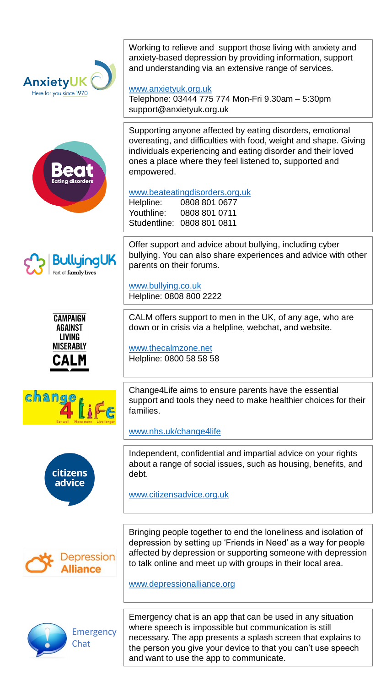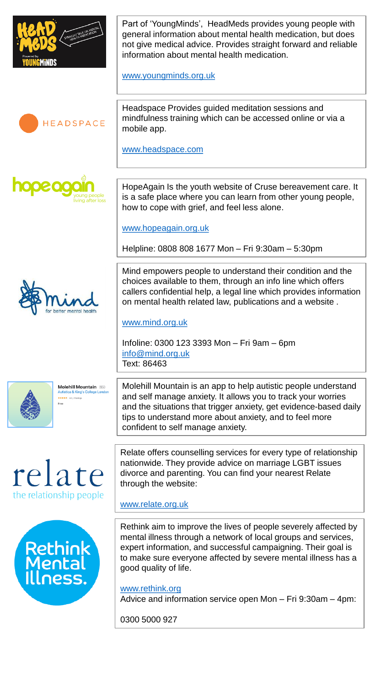

Part of 'YoungMinds', HeadMeds provides young people with general information about mental health medication, but does not give medical advice. Provides straight forward and reliable information about mental health medication.

[www.youngminds.org.uk](http://www.youngminds.org.uk/)



**NODE OX** 

Headspace Provides guided meditation sessions and mindfulness training which can be accessed online or via a mobile app.

[www.headspace.com](http://www.headspace.com/)

HopeAgain Is the youth website of Cruse bereavement care. It is a safe place where you can learn from other young people, how to cope with grief, and feel less alone.

[www.hopeagain.org.uk](http://www.hopeagain.org.uk/)

Helpline: 0808 808 1677 Mon – Fri 9:30am – 5:30pm

Mind empowers people to understand their condition and the choices available to them, through an info line which offers callers confidential help, a legal line which provides information on mental health related law, publications and a website .

#### [www.mind.org.uk](http://www.mind.org.uk/)

Infoline: 0300 123 3393 Mon – Fri 9am – 6pm [info@mind.org.uk](mailto:info@mind.org.uk) Text: 86463

Molehill Mountain 12+ \*\*\*\*\* 45.20

Molehill Mountain is an app to help autistic people understand and self manage anxiety. It allows you to track your worries and the situations that trigger anxiety, get evidence-based daily tips to understand more about anxiety, and to feel more confident to self manage anxiety.





Relate offers counselling services for every type of relationship nationwide. They provide advice on marriage LGBT issues divorce and parenting. You can find your nearest Relate through the website:

### [www.relate.org.uk](http://www.relate.org.uk/)

Rethink aim to improve the lives of people severely affected by mental illness through a network of local groups and services, expert information, and successful campaigning. Their goal is to make sure everyone affected by severe mental illness has a good quality of life.

[www.rethink.org](http://www.rethink.org/) Advice and information service open Mon – Fri 9:30am – 4pm:

0300 5000 927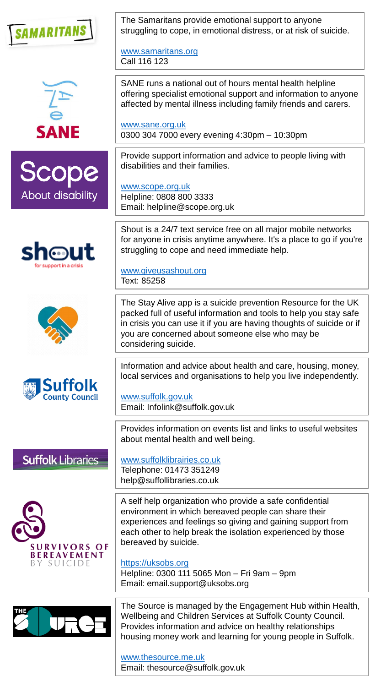











The Samaritans provide emotional support to anyone struggling to cope, in emotional distress, or at risk of suicide.

[www.samaritans.org](http://www.samaritans.org/) Call 116 123

SANE runs a national out of hours mental health helpline offering specialist emotional support and information to anyone affected by mental illness including family friends and carers.

[www.sane.org.uk](http://www.sane.org.uk/) 0300 304 7000 every evening 4:30pm – 10:30pm

Provide support information and advice to people living with disabilities and their families.

[www.scope.org.uk](http://www.scope.org.uk/) Helpline: 0808 800 3333 Email: helpline@scope.org.uk

Shout is a 24/7 text service free on all major mobile networks for anyone in crisis anytime anywhere. It's a place to go if you're struggling to cope and need immediate help.

[www.giveusashout.org](http://www.giveusashout.org/) Text: 85258

The Stay Alive app is a suicide prevention Resource for the UK packed full of useful information and tools to help you stay safe in crisis you can use it if you are having thoughts of suicide or if you are concerned about someone else who may be considering suicide.

Information and advice about health and care, housing, money, local services and organisations to help you live independently.

[www.suffolk.gov.uk](http://www.suffolk.gov.uk/) Email: Infolink@suffolk.gov.uk

Provides information on events list and links to useful websites about mental health and well being.

## **Suffolk Libraries**



[www.suffolklibrairies.co.uk](http://www.suffolklibrairies.co.uk/) Telephone: 01473 351249

help@suffollibraries.co.uk

A self help organization who provide a safe confidential environment in which bereaved people can share their experiences and feelings so giving and gaining support from each other to help break the isolation experienced by those bereaved by suicide.

## [https://uksobs.org](https://uksobs.org/)

Helpline: 0300 111 5065 Mon – Fri 9am – 9pm Email: email.support@uksobs.org

The Source is managed by the Engagement Hub within Health, Wellbeing and Children Services at Suffolk County Council. Provides information and advice on healthy relationships housing money work and learning for young people in Suffolk.

[www.thesource.me.uk](http://www.thesource.me.uk/) Email: thesource@suffolk.gov.uk